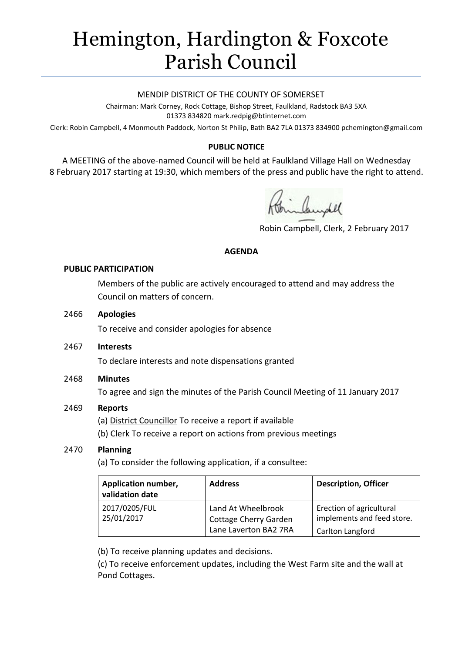# Hemington, Hardington & Foxcote Parish Council

#### MENDIP DISTRICT OF THE COUNTY OF SOMERSET

Chairman: Mark Corney, Rock Cottage, Bishop Street, Faulkland, Radstock BA3 5XA 01373 834820 mark.redpig@btinternet.com

Clerk: Robin Campbell, 4 Monmouth Paddock, Norton St Philip, Bath BA2 7LA 01373 834900 [pchemington@gmail.com](mailto:pchemington@gmail.com)

## **PUBLIC NOTICE**

A MEETING of the above-named Council will be held at Faulkland Village Hall on Wednesday 8 February 2017 starting at 19:30, which members of the press and public have the right to attend.

inbundel

Robin Campbell, Clerk, 2 February 2017

#### **AGENDA**

#### **PUBLIC PARTICIPATION**

Members of the public are actively encouraged to attend and may address the Council on matters of concern.

#### 2466 **Apologies**

To receive and consider apologies for absence

2467 **Interests**

To declare interests and note dispensations granted

## 2468 **Minutes**

To agree and sign the minutes of the Parish Council Meeting of 11 January 2017

## 2469 **Reports**

(a) District Councillor To receive a report if available

(b) Clerk To receive a report on actions from previous meetings

## 2470 **Planning**

(a) To consider the following application, if a consultee:

| Application number,<br>validation date | <b>Address</b>                                                       | <b>Description, Officer</b>                                                |
|----------------------------------------|----------------------------------------------------------------------|----------------------------------------------------------------------------|
| 2017/0205/FUL<br>25/01/2017            | Land At Wheelbrook<br>Cottage Cherry Garden<br>Lane Laverton BA2 7RA | Erection of agricultural<br>implements and feed store.<br>Carlton Langford |

(b) To receive planning updates and decisions.

(c) To receive enforcement updates, including the West Farm site and the wall at Pond Cottages.